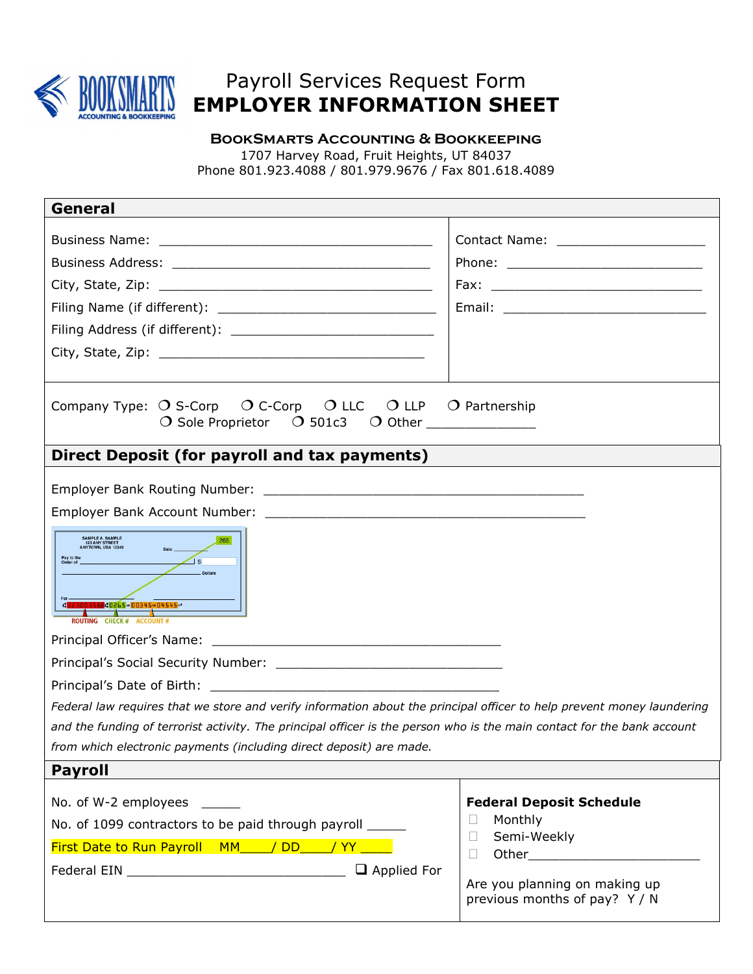

## Payroll Services Request Form EMPLOYER INFORMATION SHEET

BookSmarts Accounting & Bookkeeping 1707 Harvey Road, Fruit Heights, UT 84037 Phone 801.923.4088 / 801.979.9676 / Fax 801.618.4089

| General                                                                                                                                                                                                                                                                                                                                                                                                                                                                                                                 |                                                                                                                                                       |  |
|-------------------------------------------------------------------------------------------------------------------------------------------------------------------------------------------------------------------------------------------------------------------------------------------------------------------------------------------------------------------------------------------------------------------------------------------------------------------------------------------------------------------------|-------------------------------------------------------------------------------------------------------------------------------------------------------|--|
|                                                                                                                                                                                                                                                                                                                                                                                                                                                                                                                         | Contact Name: _____________________                                                                                                                   |  |
| Company Type: $\bigcirc$ S-Corp $\bigcirc$ C-Corp $\bigcirc$ LLC $\bigcirc$ LLP $\bigcirc$ Partnership<br>$\overline{O}$ Sole Proprietor $\overline{O}$ 501c3 $\overline{O}$ Other _____________                                                                                                                                                                                                                                                                                                                        |                                                                                                                                                       |  |
| Direct Deposit (for payroll and tax payments)                                                                                                                                                                                                                                                                                                                                                                                                                                                                           |                                                                                                                                                       |  |
| SAMPLE A. SAMPLE<br>123 ANY STREET<br>ANYTOWN, USA 12345<br>265<br>Pay to the<br>Order of<br>$\frac{1}{s}$<br>Dollars<br>" 323003588 : 0265 · 00345 · 04545 ··<br>ROUTING CHECK # ACCOUNT #<br>Federal law requires that we store and verify information about the principal officer to help prevent money laundering<br>and the funding of terrorist activity. The principal officer is the person who is the main contact for the bank account<br>from which electronic payments (including direct deposit) are made. |                                                                                                                                                       |  |
| <b>Payroll</b>                                                                                                                                                                                                                                                                                                                                                                                                                                                                                                          |                                                                                                                                                       |  |
| No. of W-2 employees<br>No. of 1099 contractors to be paid through payroll ______<br>First Date to Run Payroll MM____/DD____/YY____<br>$\Box$ Applied For                                                                                                                                                                                                                                                                                                                                                               | <b>Federal Deposit Schedule</b><br>Monthly<br>$\mathbf{L}$<br>Semi-Weekly<br>П<br>П<br>Are you planning on making up<br>previous months of pay? Y / N |  |